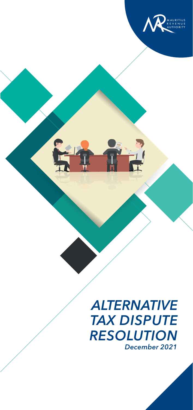

# *December 2021 ALTERNATIVE TAX DISPUTE RESOLUTION*

 $\bullet$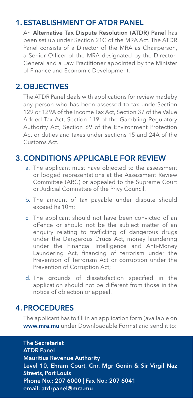### 1. ESTABLISHMENT OF ATDR PANEL

An Alternative Tax Dispute Resolution (ATDR) Panel has been set up under Section 21C of the MRA Act. The ATDR Panel consists of a Director of the MRA as Chairperson, a Senior Officer of the MRA designated by the Director-General and a Law Practitioner appointed by the Minister of Finance and Economic Development.

#### 2. OBJECTIVES

The ATDR Panel deals with applications for review madeby any person who has been assessed to tax underSection 129 or 129A of the Income Tax Act, Section 37 of the Value Added Tax Act, Section 119 of the Gambling Regulatory Authority Act, Section 69 of the Environment Protection Act or duties and taxes under sections 15 and 24A of the Customs Act.

#### 3.CONDITIONS APPLICABLE FOR REVIEW

- a. The applicant must have objected to the assessment or lodged representations at the Assessment Review Committee (ARC) or appealed to the Supreme Court or Judicial Committee of the Privy Council.
- b. The amount of tax payable under dispute should exceed Rs 10m;
- c. The applicant should not have been convicted of an offence or should not be the subject matter of an enquiry relating to trafficking of dangerous drugs under the Dangerous Drugs Act, money laundering under the Financial Intelligence and Anti-Money Laundering Act, financing of terrorism under the Prevention of Terrorism Act or corruption under the Prevention of Corruption Act;
- d. The grounds of dissatisfaction specified in the application should not be different from those in the notice of objection or appeal.

#### 4. PROCEDURES

The applicant has to fill in an application form (available on www.mra.mu under Downloadable Forms) and send it to:

The Secretariat ATDR Panel Mauritius Revenue Authority Level 10, Ehram Court, Cnr. Mgr Gonin & Sir Virgil Naz Streets, Port Louis Phone No.: 207 6000 | Fax No.: 207 6041 email: atdrpanel@mra.mu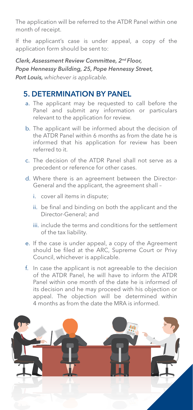The application will be referred to the ATDR Panel within one month of receipt.

If the applicant's case is under appeal, a copy of the application form should be sent to:

*Clerk, Assessment Review Committee, 2nd Floor, Pope Hennessy Building, 25, Pope Hennessy Street, Port Louis, whichever is applicable.*

## 5. DETERMINATION BY PANEL

- a. The applicant may be requested to call before the Panel and submit any information or particulars relevant to the application for review.
- b. The applicant will be informed about the decision of the ATDR Panel within 6 months as from the date he is informed that his application for review has been referred to it.
- c. The decision of the ATDR Panel shall not serve as a precedent or reference for other cases.
- d. Where there is an agreement between the Director-General and the applicant, the agreement shall –
	- i. cover all items in dispute;
	- ii. be final and binding on both the applicant and the Director-General; and
	- iii. include the terms and conditions for the settlement of the tax liability.
- e. If the case is under appeal, a copy of the Agreement should be filed at the ARC, Supreme Court or Privy Council, whichever is applicable.
- f. In case the applicant is not agreeable to the decision of the ATDR Panel, he will have to inform the ATDR Panel within one month of the date he is informed of its decision and he may proceed with his objection or appeal. The objection will be determined within 4 months as from the date the MRA is informed.